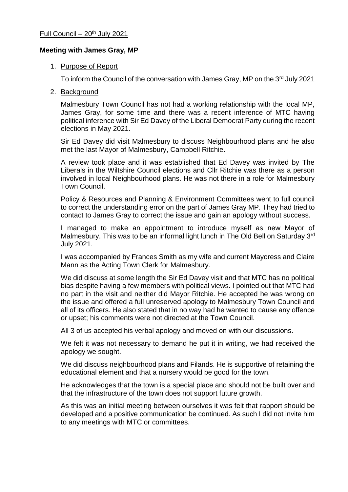## **Meeting with James Gray, MP**

## 1. Purpose of Report

To inform the Council of the conversation with James Gray, MP on the 3rd July 2021

2. Background

Malmesbury Town Council has not had a working relationship with the local MP, James Gray, for some time and there was a recent inference of MTC having political inference with Sir Ed Davey of the Liberal Democrat Party during the recent elections in May 2021.

Sir Ed Davey did visit Malmesbury to discuss Neighbourhood plans and he also met the last Mayor of Malmesbury, Campbell Ritchie.

A review took place and it was established that Ed Davey was invited by The Liberals in the Wiltshire Council elections and Cllr Ritchie was there as a person involved in local Neighbourhood plans. He was not there in a role for Malmesbury Town Council.

Policy & Resources and Planning & Environment Committees went to full council to correct the understanding error on the part of James Gray MP. They had tried to contact to James Gray to correct the issue and gain an apology without success.

I managed to make an appointment to introduce myself as new Mayor of Malmesbury. This was to be an informal light lunch in The Old Bell on Saturday 3<sup>rd</sup> July 2021.

I was accompanied by Frances Smith as my wife and current Mayoress and Claire Mann as the Acting Town Clerk for Malmesbury.

We did discuss at some length the Sir Ed Davey visit and that MTC has no political bias despite having a few members with political views. I pointed out that MTC had no part in the visit and neither did Mayor Ritchie. He accepted he was wrong on the issue and offered a full unreserved apology to Malmesbury Town Council and all of its officers. He also stated that in no way had he wanted to cause any offence or upset; his comments were not directed at the Town Council.

All 3 of us accepted his verbal apology and moved on with our discussions.

We felt it was not necessary to demand he put it in writing, we had received the apology we sought.

We did discuss neighbourhood plans and Filands. He is supportive of retaining the educational element and that a nursery would be good for the town.

He acknowledges that the town is a special place and should not be built over and that the infrastructure of the town does not support future growth.

As this was an initial meeting between ourselves it was felt that rapport should be developed and a positive communication be continued. As such I did not invite him to any meetings with MTC or committees.